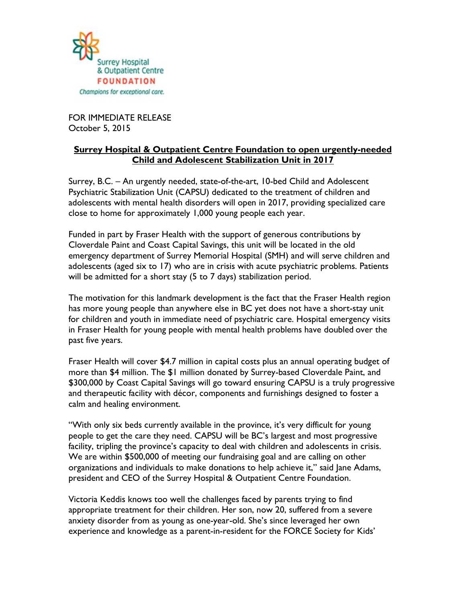

FOR IMMEDIATE RELEASE October 5, 2015

## **Surrey Hospital & Outpatient Centre Foundation to open urgently-needed Child and Adolescent Stabilization Unit in 2017**

Surrey, B.C. – An urgently needed, state-of-the-art, 10-bed Child and Adolescent Psychiatric Stabilization Unit (CAPSU) dedicated to the treatment of children and adolescents with mental health disorders will open in 2017, providing specialized care close to home for approximately 1,000 young people each year.

Funded in part by Fraser Health with the support of generous contributions by Cloverdale Paint and Coast Capital Savings, this unit will be located in the old emergency department of Surrey Memorial Hospital (SMH) and will serve children and adolescents (aged six to 17) who are in crisis with acute psychiatric problems. Patients will be admitted for a short stay (5 to 7 days) stabilization period.

The motivation for this landmark development is the fact that the Fraser Health region has more young people than anywhere else in BC yet does not have a short-stay unit for children and youth in immediate need of psychiatric care. Hospital emergency visits in Fraser Health for young people with mental health problems have doubled over the past five years.

Fraser Health will cover \$4.7 million in capital costs plus an annual operating budget of more than \$4 million. The \$1 million donated by Surrey-based Cloverdale Paint, and \$300,000 by Coast Capital Savings will go toward ensuring CAPSU is a truly progressive and therapeutic facility with décor, components and furnishings designed to foster a calm and healing environment.

"With only six beds currently available in the province, it's very difficult for young people to get the care they need. CAPSU will be BC's largest and most progressive facility, tripling the province's capacity to deal with children and adolescents in crisis. We are within \$500,000 of meeting our fundraising goal and are calling on other organizations and individuals to make donations to help achieve it," said Jane Adams, president and CEO of the Surrey Hospital & Outpatient Centre Foundation.

Victoria Keddis knows too well the challenges faced by parents trying to find appropriate treatment for their children. Her son, now 20, suffered from a severe anxiety disorder from as young as one-year-old. She's since leveraged her own experience and knowledge as a parent-in-resident for the FORCE Society for Kids'